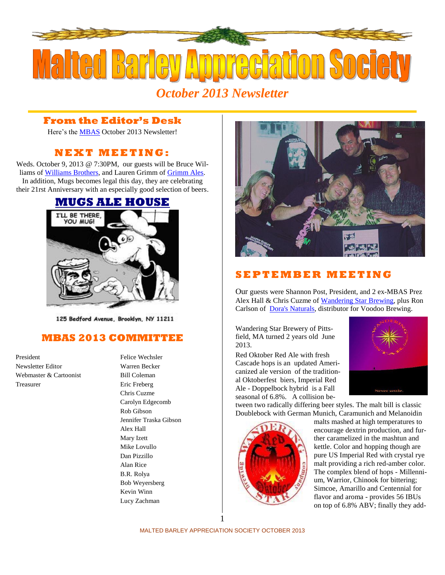

## **From the Editor's Desk**

Here's the [MBAS](http://hbd.org/mbas) October 2013 Newsletter!

# **N E X T M E ETI N G :**

Weds. October 9, 2013 @ 7:30PM, our guests will be Bruce Williams of [Williams Brothers,](http://www.williamsbrosbrew.com/) and Lauren Grimm of [Grimm Ales.](http://grimmales.com/) In addition, Mugs becomes legal this day, they are celebrating their 21rst Anniversary with an especially good selection of beers.



125 Bedford Avenue, Brooklyn, NY 11211

## **MBAS 2013 COMMITTEE**

Newsletter Editor Warren Becker Webmaster & Cartoonist Bill Coleman Treasurer Eric Freberg

# President Felice Wechsler Chris Cuzme Carolyn Edgecomb Rob Gibson Jennifer Traska Gibson Alex Hall Mary Izett Mike Lovullo Dan Pizzillo Alan Rice B.R. Rolya Bob Weyersberg Kevin Winn Lucy Zachman



## **S E P T E M B E R M E E T I N G**

Our guests were Shannon Post, President, and 2 ex-MBAS Prez Alex Hall & Chris Cuzme of [Wandering Star Brewing,](http://www.wanderingstarbrewing.com/) plus Ron Carlson of Dora's [Naturals,](http://www.dorasnaturals.com/) distributor for Voodoo [Brewing.](http://voodoobrewery.com/)

Wandering Star Brewery of Pittsfield, MA turned 2 years old June 2013.

Red Oktober Red Ale with fresh Cascade hops is an updated Americanized ale version of the traditional Oktoberfest biers, Imperial Red Ale - Doppelbock hybrid is a Fall seasonal of 6.8%. A collision be-



tween two radically differing beer styles. The malt bill is classic Doublebock with German Munich, Caramunich and Melanoidin



malts mashed at high temperatures to encourage dextrin production, and further caramelized in the mashtun and kettle. Color and hopping though are pure US Imperial Red with crystal rye malt providing a rich red-amber color. The complex blend of hops - Millennium, Warrior, Chinook for bittering; Simcoe, Amarillo and Centennial for flavor and aroma - provides 56 IBUs on top of 6.8% ABV; finally they add-

MALTED BARLEY APPRECIATION SOCIETY OCTOBER 2013 1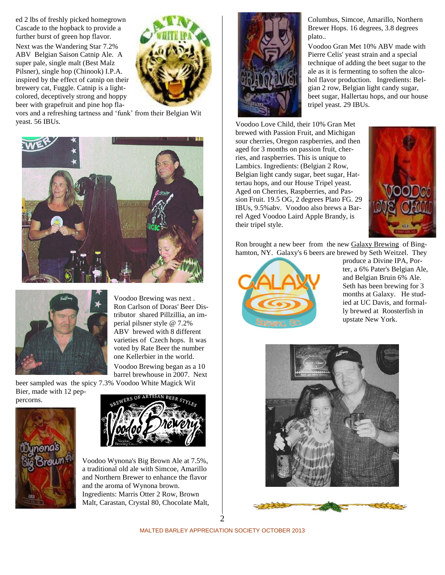ed 2 lbs of freshly picked homegrown Cascade to the hopback to provide a further burst of green hop flavor. Next was the Wandering Star 7.2% ABV Belgian Saison Catnip Ale. A super pale, single malt (Best Malz Pilsner), single hop (Chinook) I.P.A. inspired by the effect of catnip on their brewery cat, Fuggle. Catnip is a lightcolored, deceptively strong and hoppy beer with grapefruit and pine hop fla-



vors and a refreshing tartness and 'funk' from their Belgian Wit yeast. 56 IBUs.





Voodoo Brewing was next . Ron Carlson of Doras' Beer Distributor shared Pillzillia, an imperial pilsner style @ 7.2% ABV brewed with 8 different varieties of Czech hops. It was voted by Rate Beer the number one Kellerbier in the world.

Voodoo Brewing began as a 10 barrel brewhouse in 2007. Next

beer sampled was the spicy 7.3% Voodoo White Magick Wit Bier, made with 12 pep-





Voodoo Wynona's Big Brown Ale at 7.5%, a traditional old ale with Simcoe, Amarillo and Northern Brewer to enhance the flavor and the aroma of Wynona brown. Ingredients: Marris Otter 2 Row, Brown Malt, Carastan, Crystal 80, Chocolate Malt,



Columbus, Simcoe, Amarillo, Northern Brewer Hops. 16 degrees, 3.8 degrees plato..

Voodoo Gran Met 10% ABV made with Pierre Celis' yeast strain and a special technique of adding the beet sugar to the ale as it is fermenting to soften the alcohol flavor production. Ingredients: Belgian 2 row, Belgian light candy sugar, beet sugar, Hallertau hops, and our house tripel yeast. 29 IBUs.

Voodoo Love Child, their 10% Gran Met brewed with Passion Fruit, and Michigan sour cherries, Oregon raspberries, and then aged for 3 months on passion fruit, cherries, and raspberries. This is unique to Lambics. Ingredients: (Belgian 2 Row, Belgian light candy sugar, beet sugar, Hattertau hops, and our House Tripel yeast. Aged on Cherries, Raspberries, and Passion Fruit. 19.5 OG, 2 degrees Plato FG. 29 IBUs, 9.5%abv. Voodoo also brews a Barrel Aged Voodoo Laird Apple Brandy, is their tripel style.



Ron brought a new beer from the new [Galaxy Brewing](http://www.galaxybrewingco.com/) of Binghamton, NY. Galaxy's 6 beers are brewed by Seth Weitzel. They



produce a Divine IPA, Porter, a 6% Pater's Belgian Ale, and Belgian Bruin 6% Ale. Seth has been brewing for 3 months at Galaxy. He studied at UC Davis, and formally brewed at Roosterfish in upstate New York.